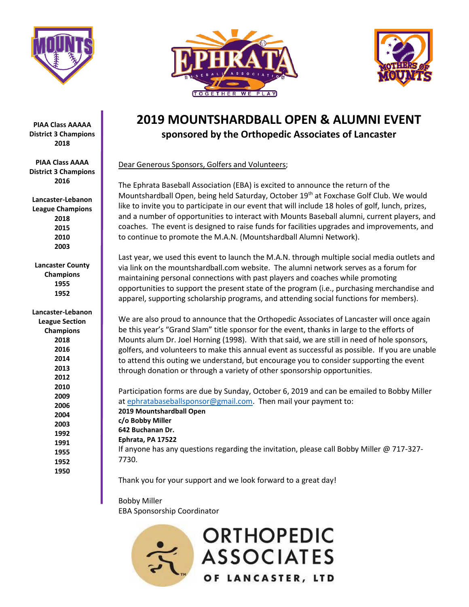





# **2019 MOUNTSHARDBALL OPEN & ALUMNI EVENT sponsored by the Orthopedic Associates of Lancaster**

Dear Generous Sponsors, Golfers and Volunteers;

The Ephrata Baseball Association (EBA) is excited to announce the return of the Mountshardball Open, being held Saturday, October 19<sup>th</sup> at Foxchase Golf Club. We would like to invite you to participate in our event that will include 18 holes of golf, lunch, prizes, and a number of opportunities to interact with Mounts Baseball alumni, current players, and coaches. The event is designed to raise funds for facilities upgrades and improvements, and to continue to promote the M.A.N. (Mountshardball Alumni Network).

Last year, we used this event to launch the M.A.N. through multiple social media outlets and via link on the mountshardball.com website. The alumni network serves as a forum for maintaining personal connections with past players and coaches while promoting opportunities to support the present state of the program (i.e., purchasing merchandise and apparel, supporting scholarship programs, and attending social functions for members).

We are also proud to announce that the Orthopedic Associates of Lancaster will once again be this year's "Grand Slam" title sponsor for the event, thanks in large to the efforts of Mounts alum Dr. Joel Horning (1998). With that said, we are still in need of hole sponsors, golfers, and volunteers to make this annual event as successful as possible. If you are unable to attend this outing we understand, but encourage you to consider supporting the event through donation or through a variety of other sponsorship opportunities.

Participation forms are due by Sunday, October 6, 2019 and can be emailed to Bobby Miller at [ephratabaseballsponsor@gmail.com.](mailto:ephratabaseballsponsor@gmail.com) Then mail your payment to: **2019 Mountshardball Open c/o Bobby Miller 642 Buchanan Dr. Ephrata, PA 17522** If anyone has any questions regarding the invitation, please call Bobby Miller @ 717-327- 7730.

Thank you for your support and we look forward to a great day!

Bobby Miller EBA Sponsorship Coordinator



**PIAA Class AAAAA District 3 Champions 2018**

**PIAA Class AAAA District 3 Champions 2016**

**Lancaster-Lebanon League Champions 2018 2015 2010 2003**

**Lancaster County Champions 1955 1952**

**1950**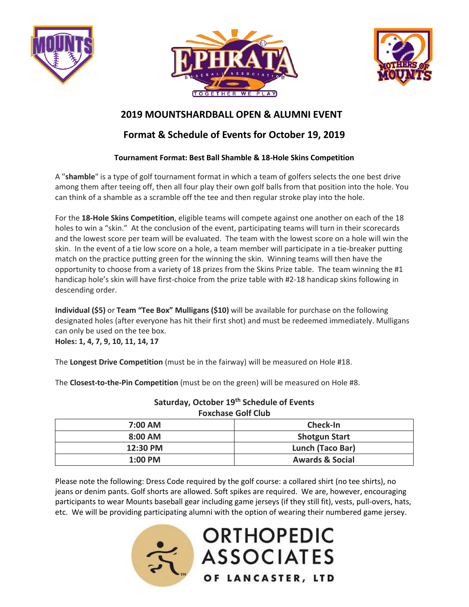





### **2019 MOUNTSHARDBALL OPEN & ALUMNI EVENT**

## **Format & Schedule of Events for October 19, 2019**

#### **Tournament Format: Best Ball Shamble & 18-Hole Skins Competition**

A "**shamble**" is a type of golf tournament format in which a team of golfers selects the one best drive among them after teeing off, then all four play their own golf balls from that position into the hole. You can think of a shamble as a scramble off the tee and then regular stroke play into the hole.

For the **18-Hole Skins Competition**, eligible teams will compete against one another on each of the 18 holes to win a "skin." At the conclusion of the event, participating teams will turn in their scorecards and the lowest score per team will be evaluated. The team with the lowest score on a hole will win the skin. In the event of a tie low score on a hole, a team member will participate in a tie-breaker putting match on the practice putting green for the winning the skin. Winning teams will then have the opportunity to choose from a variety of 18 prizes from the Skins Prize table. The team winning the #1 handicap hole's skin will have first-choice from the prize table with #2-18 handicap skins following in descending order.

**Individual (\$5)** or **Team "Tee Box" Mulligans (\$10)** will be available for purchase on the following designated holes (after everyone has hit their first shot) and must be redeemed immediately. Mulligans can only be used on the tee box.

**Holes: 1, 4, 7, 9, 10, 11, 14, 17**

The **Longest Drive Competition** (must be in the fairway) will be measured on Hole #18.

The **Closest-to-the-Pin Competition** (must be on the green) will be measured on Hole #8.

**Saturday, October 19th Schedule of Events Foxchase Golf Club**

| $7:00$ AM | Check-In                   |  |
|-----------|----------------------------|--|
| $8:00$ AM | <b>Shotgun Start</b>       |  |
| 12:30 PM  | Lunch (Taco Bar)           |  |
| $1:00$ PM | <b>Awards &amp; Social</b> |  |

Please note the following: Dress Code required by the golf course: a collared shirt (no tee shirts), no jeans or denim pants. Golf shorts are allowed. Soft spikes are required. We are, however, encouraging participants to wear Mounts baseball gear including game jerseys (if they still fit), vests, pull-overs, hats, etc. We will be providing participating alumni with the option of wearing their numbered game jersey.



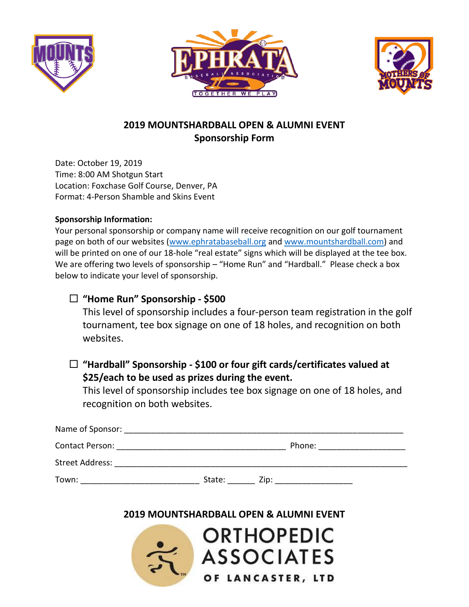





# **2019 MOUNTSHARDBALL OPEN & ALUMNI EVENT Sponsorship Form**

Date: October 19, 2019 Time: 8:00 AM Shotgun Start Location: Foxchase Golf Course, Denver, PA Format: 4-Person Shamble and Skins Event

#### **Sponsorship Information:**

Your personal sponsorship or company name will receive recognition on our golf tournament page on both of our websites [\(www.ephratabaseball.org](http://www.ephratabaseball.org/) and [www.mountshardball.com\)](http://www.mountshardball.com/) and will be printed on one of our 18-hole "real estate" signs which will be displayed at the tee box. We are offering two levels of sponsorship – "Home Run" and "Hardball." Please check a box below to indicate your level of sponsorship.

# **"Home Run" Sponsorship - \$500**

This level of sponsorship includes a four-person team registration in the golf tournament, tee box signage on one of 18 holes, and recognition on both websites.

## **"Hardball" Sponsorship - \$100 or four gift cards/certificates valued at \$25/each to be used as prizes during the event.**

This level of sponsorship includes tee box signage on one of 18 holes, and recognition on both websites.

| Name of Sponsor:       |        |        |  |
|------------------------|--------|--------|--|
| Contact Person:        |        | Phone: |  |
| <b>Street Address:</b> |        |        |  |
| Town:                  | State: | Zip:   |  |

### **2019 MOUNTSHARDBALL OPEN & ALUMNI EVENT**